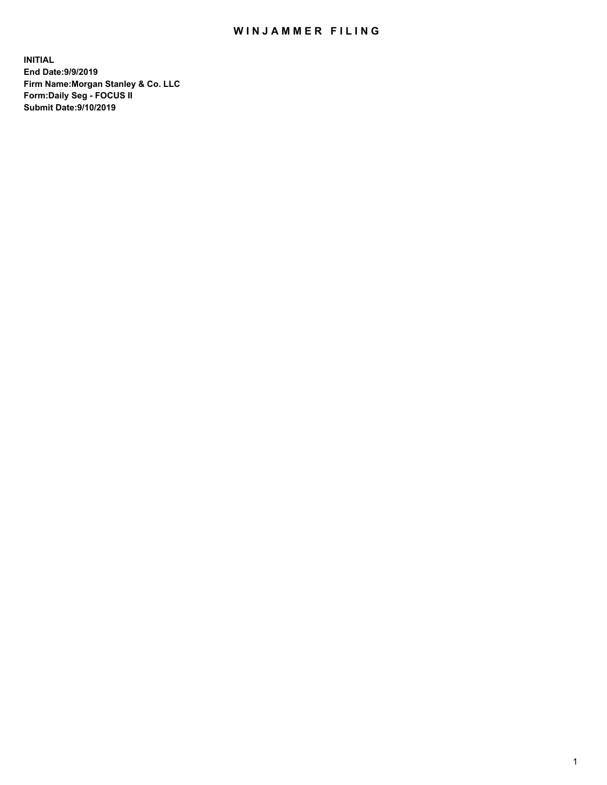## WIN JAMMER FILING

**INITIAL End Date:9/9/2019 Firm Name:Morgan Stanley & Co. LLC Form:Daily Seg - FOCUS II Submit Date:9/10/2019**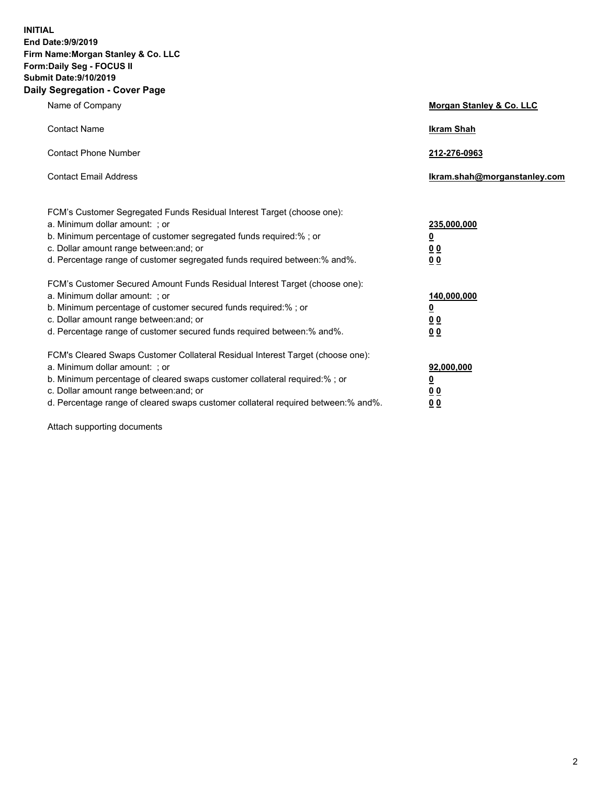**INITIAL End Date:9/9/2019 Firm Name:Morgan Stanley & Co. LLC Form:Daily Seg - FOCUS II Submit Date:9/10/2019 Daily Segregation - Cover Page**

| Name of Company                                                                                                                                                                                                                                                                                                                | Morgan Stanley & Co. LLC                                |
|--------------------------------------------------------------------------------------------------------------------------------------------------------------------------------------------------------------------------------------------------------------------------------------------------------------------------------|---------------------------------------------------------|
| <b>Contact Name</b>                                                                                                                                                                                                                                                                                                            | <b>Ikram Shah</b>                                       |
| <b>Contact Phone Number</b>                                                                                                                                                                                                                                                                                                    | 212-276-0963                                            |
| <b>Contact Email Address</b>                                                                                                                                                                                                                                                                                                   | Ikram.shah@morganstanley.com                            |
| FCM's Customer Segregated Funds Residual Interest Target (choose one):<br>a. Minimum dollar amount: ; or<br>b. Minimum percentage of customer segregated funds required:% ; or<br>c. Dollar amount range between: and; or<br>d. Percentage range of customer segregated funds required between:% and%.                         | 235,000,000<br><u>0</u><br>0 <sup>0</sup><br>00         |
| FCM's Customer Secured Amount Funds Residual Interest Target (choose one):<br>a. Minimum dollar amount: ; or<br>b. Minimum percentage of customer secured funds required:%; or<br>c. Dollar amount range between: and; or<br>d. Percentage range of customer secured funds required between:% and%.                            | 140,000,000<br><u>0</u><br><u>0 0</u><br>0 <sub>0</sub> |
| FCM's Cleared Swaps Customer Collateral Residual Interest Target (choose one):<br>a. Minimum dollar amount: ; or<br>b. Minimum percentage of cleared swaps customer collateral required:% ; or<br>c. Dollar amount range between: and; or<br>d. Percentage range of cleared swaps customer collateral required between:% and%. | 92,000,000<br><u>0</u><br><u>00</u><br>0 <sub>0</sub>   |

Attach supporting documents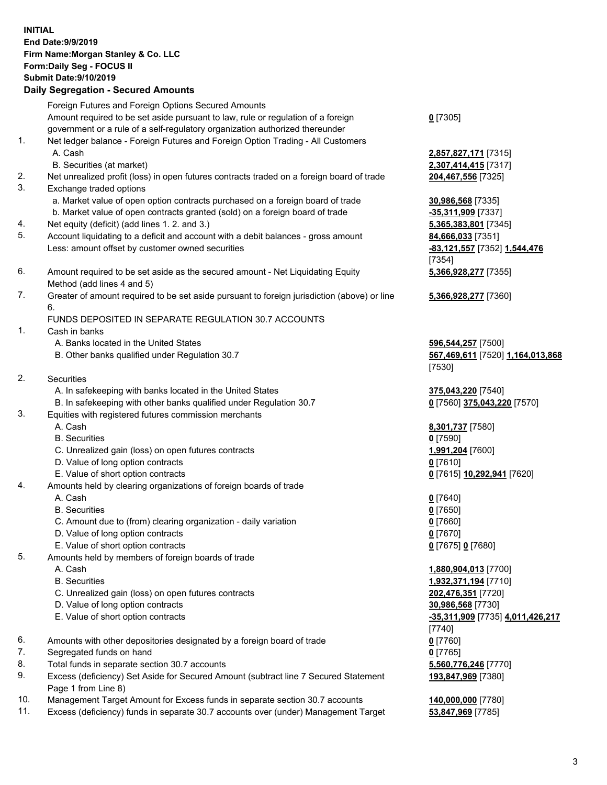## **INITIAL End Date:9/9/2019 Firm Name:Morgan Stanley & Co. LLC Form:Daily Seg - FOCUS II Submit Date:9/10/2019 Daily Segregation - Secured Amounts** Foreign Futures and Foreign Options Secured Amounts Amount required to be set aside pursuant to law, rule or regulation of a foreign government or a rule of a self-regulatory organization authorized thereunder 1. Net ledger balance - Foreign Futures and Foreign Option Trading - All Customers A. Cash **2,857,827,171** [7315] B. Securities (at market) **2,307,414,415** [7317] 2. Net unrealized profit (loss) in open futures contracts traded on a foreign board of trade **204,467,556** [7325] 3. Exchange traded options a. Market value of open option contracts purchased on a foreign board of trade **30,986,568** [7335] b. Market value of open contracts granted (sold) on a foreign board of trade **-35,311,909** [7337] 4. Net equity (deficit) (add lines 1. 2. and 3.) **5,365,383,801** [7345]

- 5. Account liquidating to a deficit and account with a debit balances gross amount **84,666,033** [7351] Less: amount offset by customer owned securities **-83,121,557** [7352] **1,544,476**
- 6. Amount required to be set aside as the secured amount Net Liquidating Equity Method (add lines 4 and 5)
- 7. Greater of amount required to be set aside pursuant to foreign jurisdiction (above) or line 6.

## FUNDS DEPOSITED IN SEPARATE REGULATION 30.7 ACCOUNTS

- 1. Cash in banks
	- A. Banks located in the United States **596,544,257** [7500]
	- B. Other banks qualified under Regulation 30.7 **567,469,611** [7520] **1,164,013,868**
- 2. Securities
	- A. In safekeeping with banks located in the United States **375,043,220** [7540]
	- B. In safekeeping with other banks qualified under Regulation 30.7 **0** [7560] **375,043,220** [7570]
- 3. Equities with registered futures commission merchants
	-
	- B. Securities **0** [7590]
	- C. Unrealized gain (loss) on open futures contracts **1,991,204** [7600]
	- D. Value of long option contracts **0** [7610]
- E. Value of short option contracts **0** [7615] **10,292,941** [7620]
- 4. Amounts held by clearing organizations of foreign boards of trade
	- A. Cash **0** [7640]
	- B. Securities **0** [7650]
	- C. Amount due to (from) clearing organization daily variation **0** [7660]
	- D. Value of long option contracts **0** [7670]
	- E. Value of short option contracts **0** [7675] **0** [7680]
- 5. Amounts held by members of foreign boards of trade
	-
	-
	- C. Unrealized gain (loss) on open futures contracts **202,476,351** [7720]
	- D. Value of long option contracts **30,986,568** [7730]
	- E. Value of short option contracts **-35,311,909** [7735] **4,011,426,217**
- 6. Amounts with other depositories designated by a foreign board of trade **0** [7760]
- 7. Segregated funds on hand **0** [7765]
- 8. Total funds in separate section 30.7 accounts **5,560,776,246** [7770]
- 9. Excess (deficiency) Set Aside for Secured Amount (subtract line 7 Secured Statement Page 1 from Line 8)
- 10. Management Target Amount for Excess funds in separate section 30.7 accounts **140,000,000** [7780]
- 11. Excess (deficiency) funds in separate 30.7 accounts over (under) Management Target **53,847,969** [7785]

**0** [7305]

[7354] **5,366,928,277** [7355]

**5,366,928,277** [7360]

[7530]

A. Cash **8,301,737** [7580]

 A. Cash **1,880,904,013** [7700] B. Securities **1,932,371,194** [7710] [7740] **193,847,969** [7380]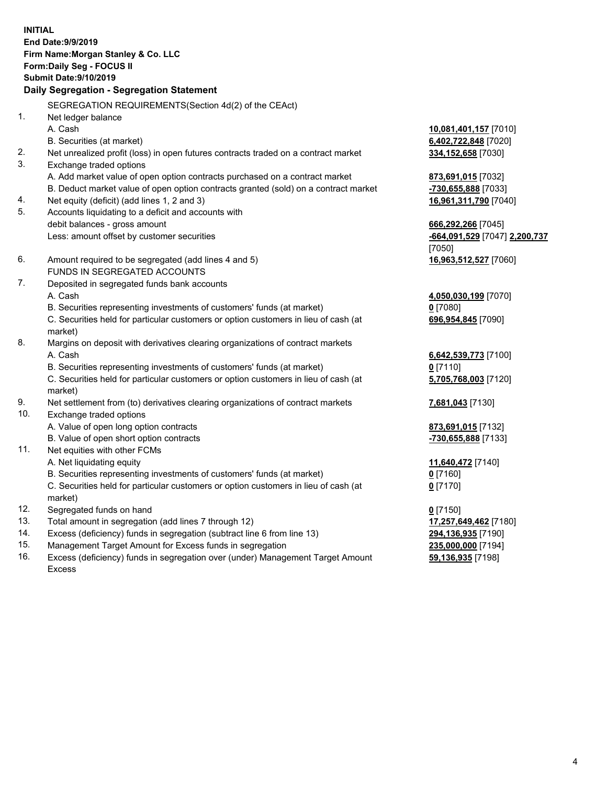**INITIAL End Date:9/9/2019 Firm Name:Morgan Stanley & Co. LLC Form:Daily Seg - FOCUS II Submit Date:9/10/2019 Daily Segregation - Segregation Statement** SEGREGATION REQUIREMENTS(Section 4d(2) of the CEAct) 1. Net ledger balance A. Cash **10,081,401,157** [7010] B. Securities (at market) **6,402,722,848** [7020] 2. Net unrealized profit (loss) in open futures contracts traded on a contract market **334,152,658** [7030] 3. Exchange traded options A. Add market value of open option contracts purchased on a contract market **873,691,015** [7032] B. Deduct market value of open option contracts granted (sold) on a contract market **-730,655,888** [7033] 4. Net equity (deficit) (add lines 1, 2 and 3) **16,961,311,790** [7040] 5. Accounts liquidating to a deficit and accounts with debit balances - gross amount **666,292,266** [7045] Less: amount offset by customer securities **-664,091,529** [7047] **2,200,737** [7050] 6. Amount required to be segregated (add lines 4 and 5) **16,963,512,527** [7060] FUNDS IN SEGREGATED ACCOUNTS 7. Deposited in segregated funds bank accounts A. Cash **4,050,030,199** [7070] B. Securities representing investments of customers' funds (at market) **0** [7080] C. Securities held for particular customers or option customers in lieu of cash (at market) **696,954,845** [7090] 8. Margins on deposit with derivatives clearing organizations of contract markets A. Cash **6,642,539,773** [7100] B. Securities representing investments of customers' funds (at market) **0** [7110] C. Securities held for particular customers or option customers in lieu of cash (at market) **5,705,768,003** [7120] 9. Net settlement from (to) derivatives clearing organizations of contract markets **7,681,043** [7130] 10. Exchange traded options A. Value of open long option contracts **873,691,015** [7132] B. Value of open short option contracts **-730,655,888** [7133] 11. Net equities with other FCMs A. Net liquidating equity **11,640,472** [7140] B. Securities representing investments of customers' funds (at market) **0** [7160] C. Securities held for particular customers or option customers in lieu of cash (at market) **0** [7170] 12. Segregated funds on hand **0** [7150] 13. Total amount in segregation (add lines 7 through 12) **17,257,649,462** [7180] 14. Excess (deficiency) funds in segregation (subtract line 6 from line 13) **294,136,935** [7190]

- 15. Management Target Amount for Excess funds in segregation **235,000,000** [7194]
- 16. Excess (deficiency) funds in segregation over (under) Management Target Amount Excess

**59,136,935** [7198]